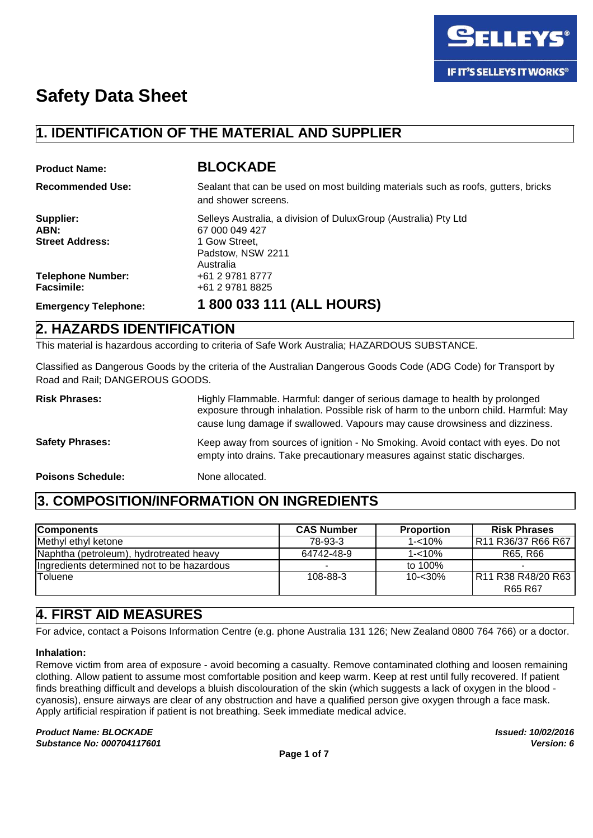

# **1. IDENTIFICATION OF THE MATERIAL AND SUPPLIER**

| <b>Product Name:</b>                          | <b>BLOCKADE</b>                                                                                                         |
|-----------------------------------------------|-------------------------------------------------------------------------------------------------------------------------|
| <b>Recommended Use:</b>                       | Sealant that can be used on most building materials such as roofs, gutters, bricks<br>and shower screens.               |
| Supplier:<br>ABN:<br><b>Street Address:</b>   | Selleys Australia, a division of DuluxGroup (Australia) Pty Ltd<br>67 000 049 427<br>1 Gow Street.<br>Padstow, NSW 2211 |
| <b>Telephone Number:</b><br><b>Facsimile:</b> | Australia<br>+61 2 9781 8777<br>+61 2 9781 8825                                                                         |
| <b>Emergency Telephone:</b>                   | 1800 033 111 (ALL HOURS)                                                                                                |
| $\sim$ = . = . =                              |                                                                                                                         |

## **2. HAZARDS IDENTIFICATION**

This material is hazardous according to criteria of Safe Work Australia; HAZARDOUS SUBSTANCE.

Classified as Dangerous Goods by the criteria of the Australian Dangerous Goods Code (ADG Code) for Transport by Road and Rail; DANGEROUS GOODS.

**Risk Phrases:** Highly Flammable. Harmful: danger of serious damage to health by prolonged exposure through inhalation. Possible risk of harm to the unborn child. Harmful: May cause lung damage if swallowed. Vapours may cause drowsiness and dizziness. Safety Phrases: Keep away from sources of ignition - No Smoking. Avoid contact with eyes. Do not empty into drains. Take precautionary measures against static discharges. **Poisons Schedule:** None allocated.

# **3. COMPOSITION/INFORMATION ON INGREDIENTS**

| <b>Components</b>                           | <b>CAS Number</b>        | <b>Proportion</b> | <b>Risk Phrases</b>       |
|---------------------------------------------|--------------------------|-------------------|---------------------------|
| Methyl ethyl ketone                         | 78-93-3                  | $1 - 10%$         | R11 R36/37 R66 R67        |
| Naphtha (petroleum), hydrotreated heavy     | 64742-48-9               | $1 - 10%$         | R65, R66                  |
| lingredients determined not to be hazardous | $\overline{\phantom{a}}$ | to 100%           |                           |
| Toluene                                     | 108-88-3                 | $10 - 30%$        | <b>R11 R38 R48/20 R63</b> |
|                                             |                          |                   | R65 R67                   |

# **4. FIRST AID MEASURES**

For advice, contact a Poisons Information Centre (e.g. phone Australia 131 126; New Zealand 0800 764 766) or a doctor.

#### **Inhalation:**

Remove victim from area of exposure - avoid becoming a casualty. Remove contaminated clothing and loosen remaining clothing. Allow patient to assume most comfortable position and keep warm. Keep at rest until fully recovered. If patient finds breathing difficult and develops a bluish discolouration of the skin (which suggests a lack of oxygen in the blood cyanosis), ensure airways are clear of any obstruction and have a qualified person give oxygen through a face mask. Apply artificial respiration if patient is not breathing. Seek immediate medical advice.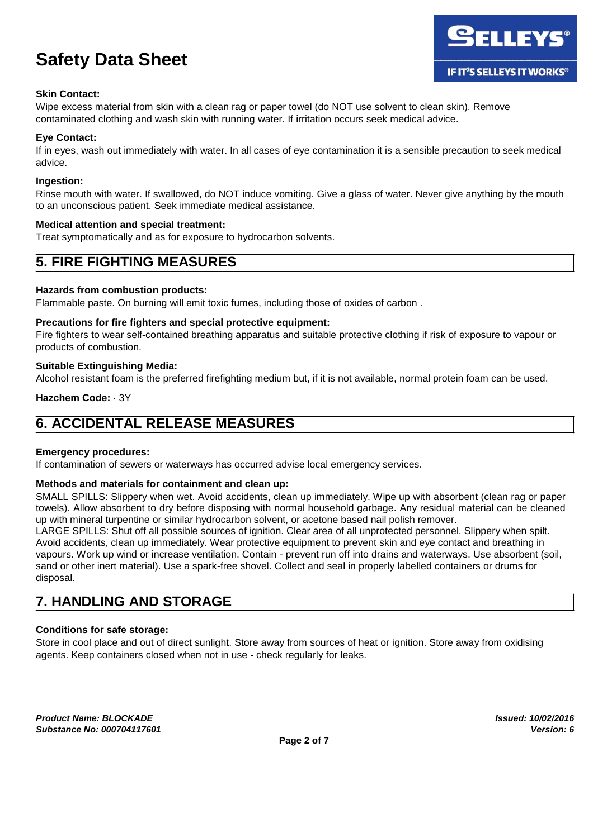#### **Skin Contact:**

Wipe excess material from skin with a clean rag or paper towel (do NOT use solvent to clean skin). Remove contaminated clothing and wash skin with running water. If irritation occurs seek medical advice.

#### **Eye Contact:**

If in eyes, wash out immediately with water. In all cases of eye contamination it is a sensible precaution to seek medical advice.

#### **Ingestion:**

Rinse mouth with water. If swallowed, do NOT induce vomiting. Give a glass of water. Never give anything by the mouth to an unconscious patient. Seek immediate medical assistance.

#### **Medical attention and special treatment:**

Treat symptomatically and as for exposure to hydrocarbon solvents.

### **5. FIRE FIGHTING MEASURES**

#### **Hazards from combustion products:**

Flammable paste. On burning will emit toxic fumes, including those of oxides of carbon .

#### **Precautions for fire fighters and special protective equipment:**

Fire fighters to wear self-contained breathing apparatus and suitable protective clothing if risk of exposure to vapour or products of combustion.

#### **Suitable Extinguishing Media:**

Alcohol resistant foam is the preferred firefighting medium but, if it is not available, normal protein foam can be used.

**Hazchem Code:** · 3Y

# **6. ACCIDENTAL RELEASE MEASURES**

#### **Emergency procedures:**

If contamination of sewers or waterways has occurred advise local emergency services.

#### **Methods and materials for containment and clean up:**

SMALL SPILLS: Slippery when wet. Avoid accidents, clean up immediately. Wipe up with absorbent (clean rag or paper towels). Allow absorbent to dry before disposing with normal household garbage. Any residual material can be cleaned up with mineral turpentine or similar hydrocarbon solvent, or acetone based nail polish remover.

LARGE SPILLS: Shut off all possible sources of ignition. Clear area of all unprotected personnel. Slippery when spilt. Avoid accidents, clean up immediately. Wear protective equipment to prevent skin and eye contact and breathing in vapours. Work up wind or increase ventilation. Contain - prevent run off into drains and waterways. Use absorbent (soil, sand or other inert material). Use a spark-free shovel. Collect and seal in properly labelled containers or drums for disposal.

### **7. HANDLING AND STORAGE**

#### **Conditions for safe storage:**

Store in cool place and out of direct sunlight. Store away from sources of heat or ignition. Store away from oxidising agents. Keep containers closed when not in use - check regularly for leaks.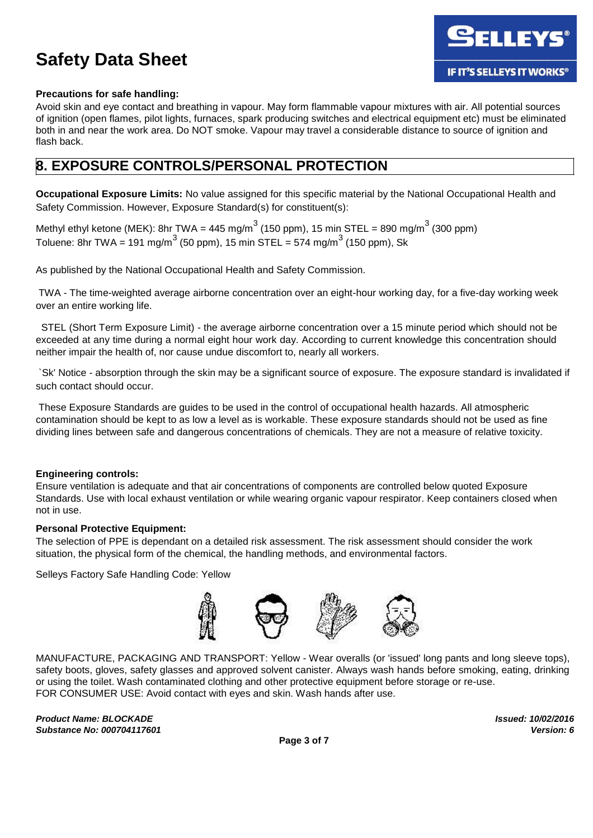

#### **Precautions for safe handling:**

Avoid skin and eye contact and breathing in vapour. May form flammable vapour mixtures with air. All potential sources of ignition (open flames, pilot lights, furnaces, spark producing switches and electrical equipment etc) must be eliminated both in and near the work area. Do NOT smoke. Vapour may travel a considerable distance to source of ignition and flash back.

### **8. EXPOSURE CONTROLS/PERSONAL PROTECTION**

**Occupational Exposure Limits:** No value assigned for this specific material by the National Occupational Health and Safety Commission. However, Exposure Standard(s) for constituent(s):

Methyl ethyl ketone (MEK): 8hr TWA = 445 mg/m $^3$  (150 ppm), 15 min STEL = 890 mg/m $^3$  (300 ppm) Toluene: 8hr TWA = 191 mg/m $^3$  (50 ppm), 15 min STEL = 574 mg/m $^3$  (150 ppm), Sk

As published by the National Occupational Health and Safety Commission.

TWA - The time-weighted average airborne concentration over an eight-hour working day, for a five-day working week over an entire working life.

STEL (Short Term Exposure Limit) - the average airborne concentration over a 15 minute period which should not be exceeded at any time during a normal eight hour work day. According to current knowledge this concentration should neither impair the health of, nor cause undue discomfort to, nearly all workers.

`Sk' Notice - absorption through the skin may be a significant source of exposure. The exposure standard is invalidated if such contact should occur.

These Exposure Standards are guides to be used in the control of occupational health hazards. All atmospheric contamination should be kept to as low a level as is workable. These exposure standards should not be used as fine dividing lines between safe and dangerous concentrations of chemicals. They are not a measure of relative toxicity.

#### **Engineering controls:**

Ensure ventilation is adequate and that air concentrations of components are controlled below quoted Exposure Standards. Use with local exhaust ventilation or while wearing organic vapour respirator. Keep containers closed when not in use.

#### **Personal Protective Equipment:**

The selection of PPE is dependant on a detailed risk assessment. The risk assessment should consider the work situation, the physical form of the chemical, the handling methods, and environmental factors.

Selleys Factory Safe Handling Code: Yellow



MANUFACTURE, PACKAGING AND TRANSPORT: Yellow - Wear overalls (or 'issued' long pants and long sleeve tops), safety boots, gloves, safety glasses and approved solvent canister. Always wash hands before smoking, eating, drinking or using the toilet. Wash contaminated clothing and other protective equipment before storage or re-use. FOR CONSUMER USE: Avoid contact with eyes and skin. Wash hands after use.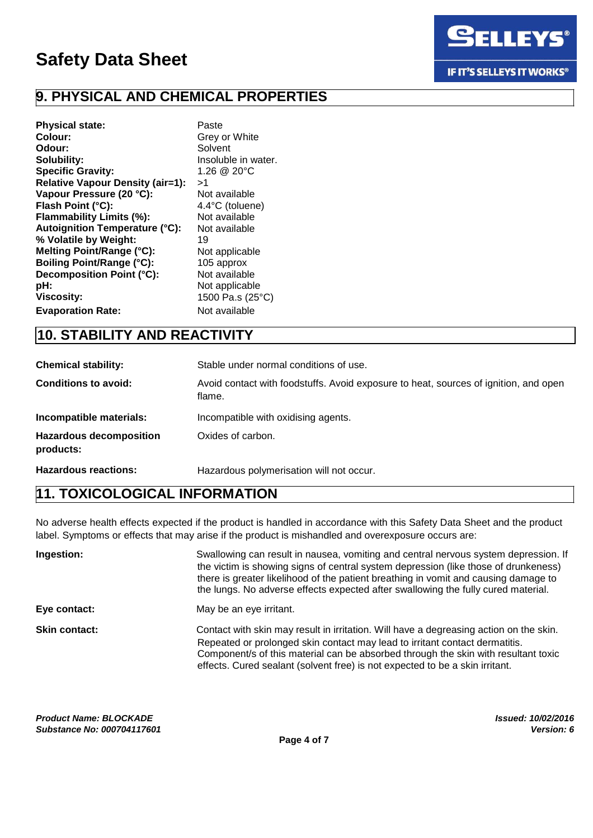

# **9. PHYSICAL AND CHEMICAL PROPERTIES**

| <b>Physical state:</b>                  | Paste               |
|-----------------------------------------|---------------------|
| Colour:                                 | Grey or White       |
| Odour:                                  | Solvent             |
| Solubility:                             | Insoluble in water. |
| <b>Specific Gravity:</b>                | 1.26 @ 20°C         |
| <b>Relative Vapour Density (air=1):</b> | >1                  |
| Vapour Pressure (20 °C):                | Not available       |
| Flash Point (°C):                       | 4.4°C (toluene)     |
| Flammability Limits (%):                | Not available       |
| <b>Autoignition Temperature (°C):</b>   | Not available       |
| % Volatile by Weight:                   | 19                  |
| Melting Point/Range (°C):               | Not applicable      |
| <b>Boiling Point/Range (°C):</b>        | 105 approx          |
| Decomposition Point (°C):               | Not available       |
| pH:                                     | Not applicable      |
| <b>Viscosity:</b>                       | 1500 Pa.s (25°C)    |
| <b>Evaporation Rate:</b>                | Not available       |

# **10. STABILITY AND REACTIVITY**

| <b>Chemical stability:</b>                  | Stable under normal conditions of use.                                                         |
|---------------------------------------------|------------------------------------------------------------------------------------------------|
| <b>Conditions to avoid:</b>                 | Avoid contact with foodstuffs. Avoid exposure to heat, sources of ignition, and open<br>flame. |
| Incompatible materials:                     | Incompatible with oxidising agents.                                                            |
| <b>Hazardous decomposition</b><br>products: | Oxides of carbon.                                                                              |
| <b>Hazardous reactions:</b>                 | Hazardous polymerisation will not occur.                                                       |

## **11. TOXICOLOGICAL INFORMATION**

No adverse health effects expected if the product is handled in accordance with this Safety Data Sheet and the product label. Symptoms or effects that may arise if the product is mishandled and overexposure occurs are:

| Ingestion:           | Swallowing can result in nausea, vomiting and central nervous system depression. If<br>the victim is showing signs of central system depression (like those of drunkeness)<br>there is greater likelihood of the patient breathing in vomit and causing damage to<br>the lungs. No adverse effects expected after swallowing the fully cured material. |
|----------------------|--------------------------------------------------------------------------------------------------------------------------------------------------------------------------------------------------------------------------------------------------------------------------------------------------------------------------------------------------------|
| Eye contact:         | May be an eye irritant.                                                                                                                                                                                                                                                                                                                                |
| <b>Skin contact:</b> | Contact with skin may result in irritation. Will have a degreasing action on the skin.<br>Repeated or prolonged skin contact may lead to irritant contact dermatitis.<br>Component/s of this material can be absorbed through the skin with resultant toxic<br>effects. Cured sealant (solvent free) is not expected to be a skin irritant.            |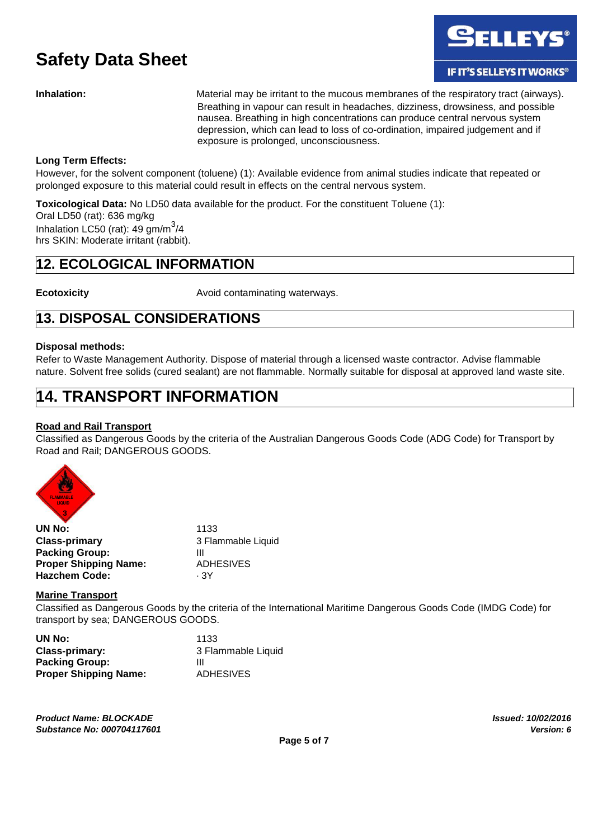

**Inhalation:** Material may be irritant to the mucous membranes of the respiratory tract (airways). Breathing in vapour can result in headaches, dizziness, drowsiness, and possible nausea. Breathing in high concentrations can produce central nervous system depression, which can lead to loss of co-ordination, impaired judgement and if exposure is prolonged, unconsciousness.

#### **Long Term Effects:**

However, for the solvent component (toluene) (1): Available evidence from animal studies indicate that repeated or prolonged exposure to this material could result in effects on the central nervous system.

**Toxicological Data:** No LD50 data available for the product. For the constituent Toluene (1): Oral LD50 (rat): 636 mg/kg Inhalation LC50 (rat):  $49 \text{ gm/m}^3/4$ hrs SKIN: Moderate irritant (rabbit).

## **12. ECOLOGICAL INFORMATION**

**Ecotoxicity Ecotoxicity Avoid contaminating waterways.** 

## **13. DISPOSAL CONSIDERATIONS**

#### **Disposal methods:**

Refer to Waste Management Authority. Dispose of material through a licensed waste contractor. Advise flammable nature. Solvent free solids (cured sealant) are not flammable. Normally suitable for disposal at approved land waste site.

# **14. TRANSPORT INFORMATION**

#### **Road and Rail Transport**

Classified as Dangerous Goods by the criteria of the Australian Dangerous Goods Code (ADG Code) for Transport by Road and Rail; DANGEROUS GOODS.



| UN No:                       | 1133               |
|------------------------------|--------------------|
| <b>Class-primary</b>         | 3 Flammable Liquid |
| <b>Packing Group:</b>        | Ш                  |
| <b>Proper Shipping Name:</b> | ADHESIVES          |
| <b>Hazchem Code:</b>         | - 3Y               |

#### **Marine Transport**

Classified as Dangerous Goods by the criteria of the International Maritime Dangerous Goods Code (IMDG Code) for transport by sea; DANGEROUS GOODS.

| UN No:                       | 1133               |
|------------------------------|--------------------|
| Class-primary:               | 3 Flammable Liquid |
| <b>Packing Group:</b>        | Ш                  |
| <b>Proper Shipping Name:</b> | <b>ADHESIVES</b>   |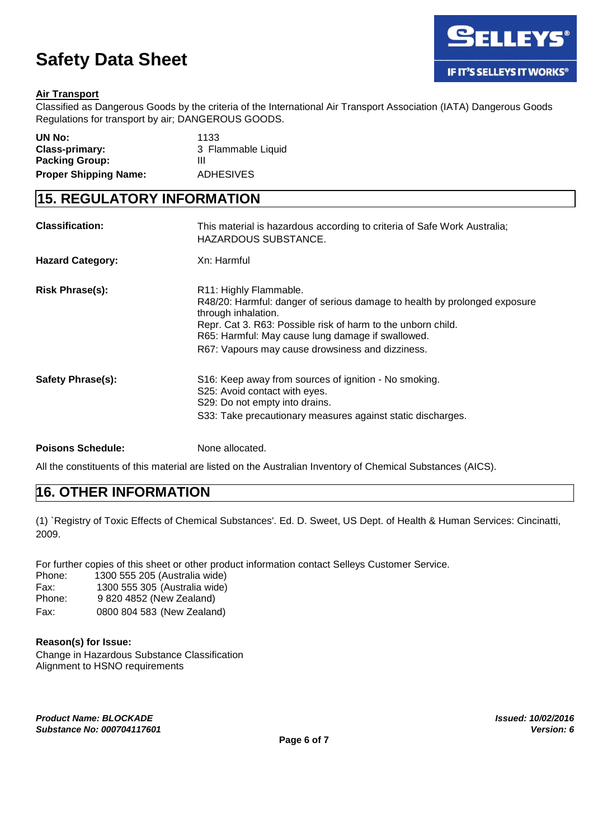

#### **Air Transport**

Classified as Dangerous Goods by the criteria of the International Air Transport Association (IATA) Dangerous Goods Regulations for transport by air; DANGEROUS GOODS.

| UN No:                       | 1133               |
|------------------------------|--------------------|
| Class-primary:               | 3 Flammable Liquid |
| <b>Packing Group:</b>        | ш                  |
| <b>Proper Shipping Name:</b> | <b>ADHESIVES</b>   |

### **15. REGULATORY INFORMATION**

| <b>Classification:</b>  | This material is hazardous according to criteria of Safe Work Australia;<br>HAZARDOUS SUBSTANCE.                                                                                                                                                                                                    |
|-------------------------|-----------------------------------------------------------------------------------------------------------------------------------------------------------------------------------------------------------------------------------------------------------------------------------------------------|
| <b>Hazard Category:</b> | Xn: Harmful                                                                                                                                                                                                                                                                                         |
| <b>Risk Phrase(s):</b>  | R11: Highly Flammable.<br>R48/20: Harmful: danger of serious damage to health by prolonged exposure<br>through inhalation.<br>Repr. Cat 3. R63: Possible risk of harm to the unborn child.<br>R65: Harmful: May cause lung damage if swallowed.<br>R67: Vapours may cause drowsiness and dizziness. |
| Safety Phrase(s):       | S16: Keep away from sources of ignition - No smoking.<br>S25: Avoid contact with eyes.<br>S29: Do not empty into drains.<br>S33: Take precautionary measures against static discharges.                                                                                                             |

**Poisons Schedule:** None allocated.

All the constituents of this material are listed on the Australian Inventory of Chemical Substances (AICS).

## **16. OTHER INFORMATION**

(1) `Registry of Toxic Effects of Chemical Substances'. Ed. D. Sweet, US Dept. of Health & Human Services: Cincinatti, 2009.

For further copies of this sheet or other product information contact Selleys Customer Service.

- Phone: 1300 555 205 (Australia wide)
- Fax: 1300 555 305 (Australia wide)
- Phone: 9 820 4852 (New Zealand)
- Fax: 0800 804 583 (New Zealand)

#### **Reason(s) for Issue:**

Change in Hazardous Substance Classification Alignment to HSNO requirements